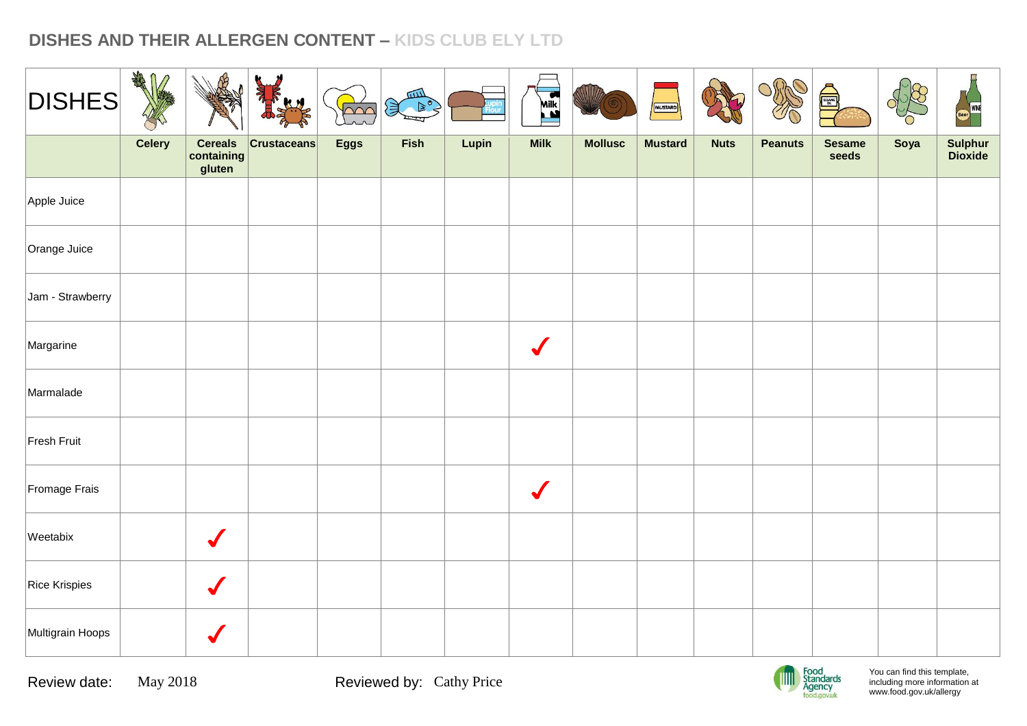| <b>DISHES</b>    | ART<br>$\mathbf \Omega$<br>V |                                        | <b>KN</b>          | $\overline{\sim}$ | 皿<br>$\mathbb{R}^{\circ}$ |       | EX                   | WIIZ           | MUSTARD        |             | Offic          | é,                     |      | Beer WNE           |
|------------------|------------------------------|----------------------------------------|--------------------|-------------------|---------------------------|-------|----------------------|----------------|----------------|-------------|----------------|------------------------|------|--------------------|
|                  | <b>Celery</b>                | <b>Cereals</b><br>containing<br>gluten | <b>Crustaceans</b> | <b>Eggs</b>       | Fish                      | Lupin | <b>Milk</b>          | <b>Mollusc</b> | <b>Mustard</b> | <b>Nuts</b> | <b>Peanuts</b> | <b>Sesame</b><br>seeds | Soya | Sulphur<br>Dioxide |
| Apple Juice      |                              |                                        |                    |                   |                           |       |                      |                |                |             |                |                        |      |                    |
| Orange Juice     |                              |                                        |                    |                   |                           |       |                      |                |                |             |                |                        |      |                    |
| Jam - Strawberry |                              |                                        |                    |                   |                           |       |                      |                |                |             |                |                        |      |                    |
| Margarine        |                              |                                        |                    |                   |                           |       | $\sqrt{\frac{1}{2}}$ |                |                |             |                |                        |      |                    |
| Marmalade        |                              |                                        |                    |                   |                           |       |                      |                |                |             |                |                        |      |                    |
| Fresh Fruit      |                              |                                        |                    |                   |                           |       |                      |                |                |             |                |                        |      |                    |
| Fromage Frais    |                              |                                        |                    |                   |                           |       | $\sqrt{\frac{1}{2}}$ |                |                |             |                |                        |      |                    |
| Weetabix         |                              | $\blacklozenge$                        |                    |                   |                           |       |                      |                |                |             |                |                        |      |                    |
| Rice Krispies    |                              | $\bigvee$                              |                    |                   |                           |       |                      |                |                |             |                |                        |      |                    |
| Multigrain Hoops |                              |                                        |                    |                   |                           |       |                      |                |                |             |                |                        |      |                    |

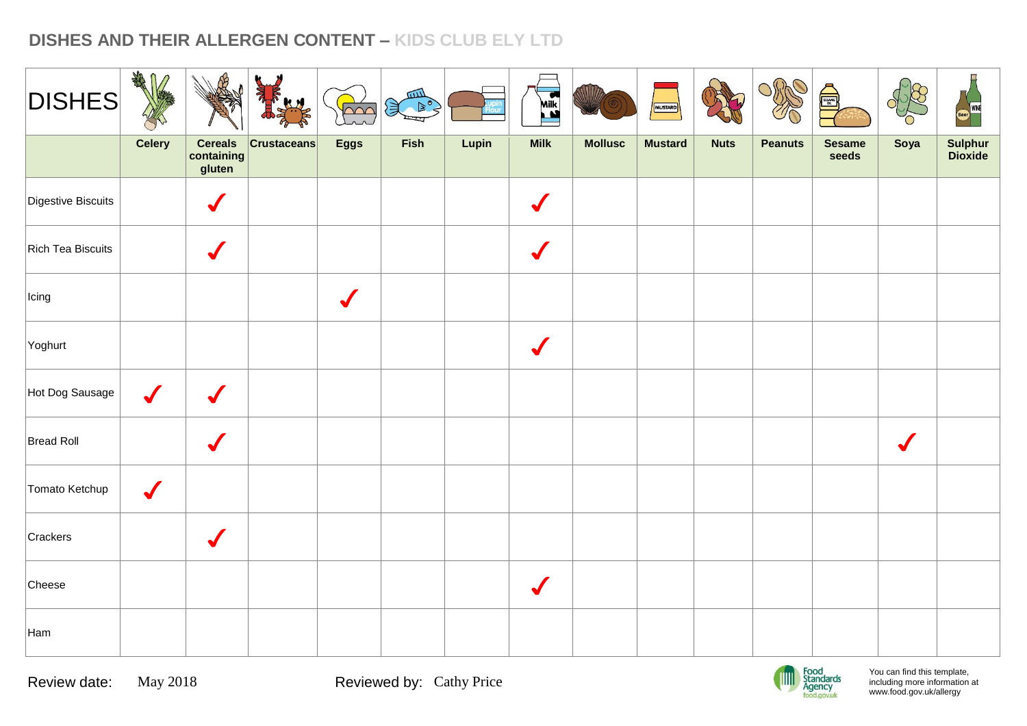| <b>DISHES</b>      | ARA              |                                        | KN                 | $\overline{000}$ | 皿<br>$\mathcal{F}$ |       | ER                   |                | MUSTARD        |             | ORAO           | <b>Allegation</b>      |           | WINE               |
|--------------------|------------------|----------------------------------------|--------------------|------------------|--------------------|-------|----------------------|----------------|----------------|-------------|----------------|------------------------|-----------|--------------------|
|                    | <b>Celery</b>    | <b>Cereals</b><br>containing<br>gluten | <b>Crustaceans</b> | <b>Eggs</b>      | Fish               | Lupin | <b>Milk</b>          | <b>Mollusc</b> | <b>Mustard</b> | <b>Nuts</b> | <b>Peanuts</b> | <b>Sesame</b><br>seeds | Soya      | Sulphur<br>Dioxide |
| Digestive Biscuits |                  |                                        |                    |                  |                    |       |                      |                |                |             |                |                        |           |                    |
| Rich Tea Biscuits  |                  | $\sqrt{}$                              |                    |                  |                    |       | $\sqrt{\frac{1}{2}}$ |                |                |             |                |                        |           |                    |
| Icing              |                  |                                        |                    | $\sqrt{}$        |                    |       |                      |                |                |             |                |                        |           |                    |
| Yoghurt            |                  |                                        |                    |                  |                    |       |                      |                |                |             |                |                        |           |                    |
| Hot Dog Sausage    | $\boldsymbol{J}$ | $\boldsymbol{J}$                       |                    |                  |                    |       |                      |                |                |             |                |                        |           |                    |
| Bread Roll         |                  |                                        |                    |                  |                    |       |                      |                |                |             |                |                        | $\sqrt{}$ |                    |
| Tomato Ketchup     | $\checkmark$     |                                        |                    |                  |                    |       |                      |                |                |             |                |                        |           |                    |
| Crackers           |                  | $\checkmark$                           |                    |                  |                    |       |                      |                |                |             |                |                        |           |                    |
| Cheese             |                  |                                        |                    |                  |                    |       | $\sqrt{\frac{1}{2}}$ |                |                |             |                |                        |           |                    |
| Ham                |                  |                                        |                    |                  |                    |       |                      |                |                |             |                |                        |           |                    |

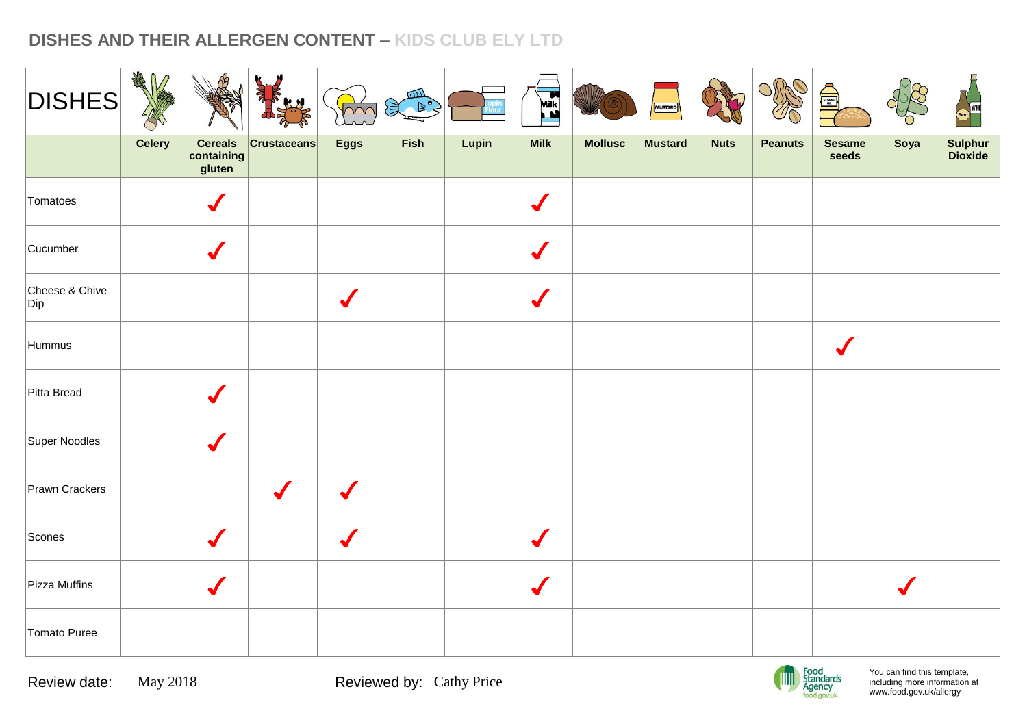| <b>DISHES</b>         | AR            |                                        |                      | $\sim$      | 皿<br>美国 |       | <b>ASSES</b> |                | MUSTARD        |             | OrthO          | Susan D                |                      | WINE               |
|-----------------------|---------------|----------------------------------------|----------------------|-------------|---------|-------|--------------|----------------|----------------|-------------|----------------|------------------------|----------------------|--------------------|
|                       | <b>Celery</b> | <b>Cereals</b><br>containing<br>gluten | <b>Crustaceans</b>   | <b>Eggs</b> | Fish    | Lupin | <b>Milk</b>  | <b>Mollusc</b> | <b>Mustard</b> | <b>Nuts</b> | <b>Peanuts</b> | <b>Sesame</b><br>seeds | Soya                 | Sulphur<br>Dioxide |
| Tomatoes              |               | $\sqrt{}$                              |                      |             |         |       |              |                |                |             |                |                        |                      |                    |
| Cucumber              |               | $\sqrt{}$                              |                      |             |         |       |              |                |                |             |                |                        |                      |                    |
| Cheese & Chive<br>Dip |               |                                        |                      |             |         |       |              |                |                |             |                |                        |                      |                    |
| Hummus                |               |                                        |                      |             |         |       |              |                |                |             |                | $\sqrt{}$              |                      |                    |
| Pitta Bread           |               | $\sqrt{}$                              |                      |             |         |       |              |                |                |             |                |                        |                      |                    |
| Super Noodles         |               | $\checkmark$                           |                      |             |         |       |              |                |                |             |                |                        |                      |                    |
| Prawn Crackers        |               |                                        | $\sqrt{\frac{1}{2}}$ |             |         |       |              |                |                |             |                |                        |                      |                    |
| Scones                |               | $\sqrt{}$                              |                      | $\sqrt{}$   |         |       |              |                |                |             |                |                        |                      |                    |
| Pizza Muffins         |               | $\checkmark$                           |                      |             |         |       |              |                |                |             |                |                        | $\sqrt{\frac{1}{2}}$ |                    |
| Tomato Puree          |               |                                        |                      |             |         |       |              |                |                |             |                |                        |                      |                    |